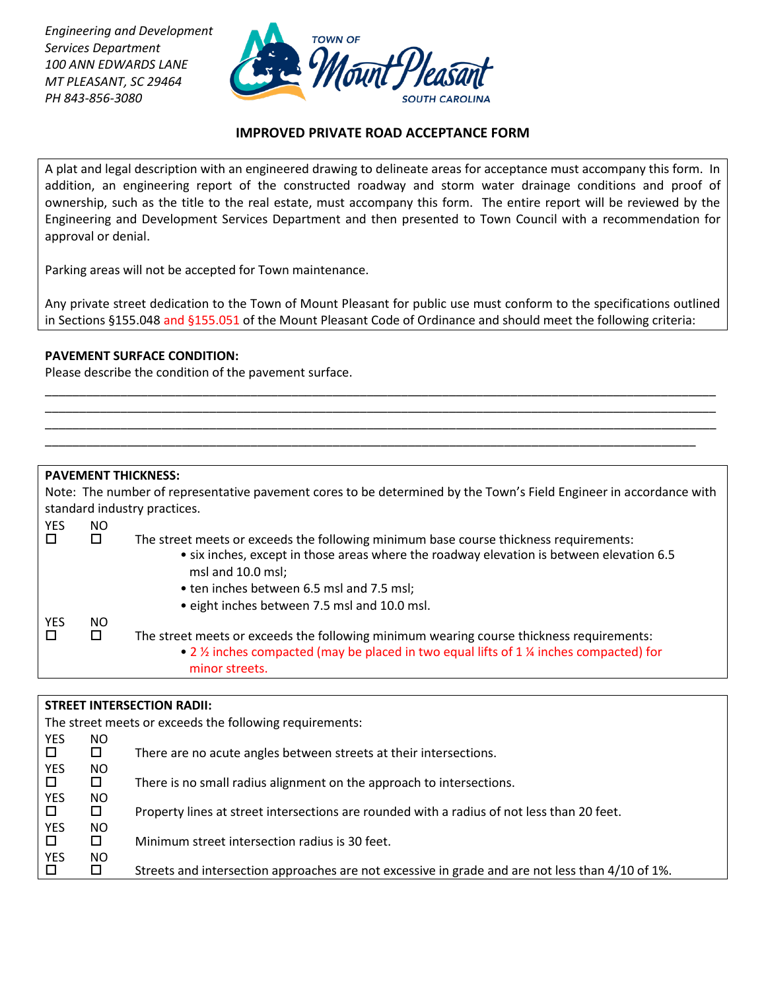*Engineering and Development Services Department 100 ANN EDWARDS LANE MT PLEASANT, SC 29464 PH 843-856-3080*



## **IMPROVED PRIVATE ROAD ACCEPTANCE FORM**

A plat and legal description with an engineered drawing to delineate areas for acceptance must accompany this form. In addition, an engineering report of the constructed roadway and storm water drainage conditions and proof of ownership, such as the title to the real estate, must accompany this form. The entire report will be reviewed by the Engineering and Development Services Department and then presented to Town Council with a recommendation for approval or denial.

Parking areas will not be accepted for Town maintenance.

Any private street dedication to the Town of Mount Pleasant for public use must conform to the specifications outlined in Sections §155.048 and §155.051 of the Mount Pleasant Code of Ordinance and should meet the following criteria:

\_\_\_\_\_\_\_\_\_\_\_\_\_\_\_\_\_\_\_\_\_\_\_\_\_\_\_\_\_\_\_\_\_\_\_\_\_\_\_\_\_\_\_\_\_\_\_\_\_\_\_\_\_\_\_\_\_\_\_\_\_\_\_\_\_\_\_\_\_\_\_\_\_\_\_\_\_\_\_\_\_\_\_\_\_\_\_\_\_\_\_\_\_\_\_\_\_\_ \_\_\_\_\_\_\_\_\_\_\_\_\_\_\_\_\_\_\_\_\_\_\_\_\_\_\_\_\_\_\_\_\_\_\_\_\_\_\_\_\_\_\_\_\_\_\_\_\_\_\_\_\_\_\_\_\_\_\_\_\_\_\_\_\_\_\_\_\_\_\_\_\_\_\_\_\_\_\_\_\_\_\_\_\_\_\_\_\_\_\_\_\_\_\_\_\_\_ \_\_\_\_\_\_\_\_\_\_\_\_\_\_\_\_\_\_\_\_\_\_\_\_\_\_\_\_\_\_\_\_\_\_\_\_\_\_\_\_\_\_\_\_\_\_\_\_\_\_\_\_\_\_\_\_\_\_\_\_\_\_\_\_\_\_\_\_\_\_\_\_\_\_\_\_\_\_\_\_\_\_\_\_\_\_\_\_\_\_\_\_\_\_\_\_\_\_ \_\_\_\_\_\_\_\_\_\_\_\_\_\_\_\_\_\_\_\_\_\_\_\_\_\_\_\_\_\_\_\_\_\_\_\_\_\_\_\_\_\_\_\_\_\_\_\_\_\_\_\_\_\_\_\_\_\_\_\_\_\_\_\_\_\_\_\_\_\_\_\_\_\_\_\_\_\_\_\_\_\_\_\_\_\_\_\_\_\_\_\_\_\_\_

#### **PAVEMENT SURFACE CONDITION:**

Please describe the condition of the pavement surface.

### **PAVEMENT THICKNESS:**

| Note: The number of representative pavement cores to be determined by the Town's Field Engineer in accordance with |     |                                                                                                               |  |  |  |
|--------------------------------------------------------------------------------------------------------------------|-----|---------------------------------------------------------------------------------------------------------------|--|--|--|
| standard industry practices.                                                                                       |     |                                                                                                               |  |  |  |
| <b>YES</b>                                                                                                         | NO. |                                                                                                               |  |  |  |
|                                                                                                                    |     | The street meets or exceeds the following minimum base course thickness requirements:                         |  |  |  |
|                                                                                                                    |     | • six inches, except in those areas where the roadway elevation is between elevation 6.5<br>msl and 10.0 msl; |  |  |  |
|                                                                                                                    |     | • ten inches between 6.5 msl and 7.5 msl;                                                                     |  |  |  |
|                                                                                                                    |     | • eight inches between 7.5 msl and 10.0 msl.                                                                  |  |  |  |
| <b>YES</b>                                                                                                         | NO. |                                                                                                               |  |  |  |
|                                                                                                                    | 0   | The street meets or exceeds the following minimum wearing course thickness requirements:                      |  |  |  |
|                                                                                                                    |     | • 2 % inches compacted (may be placed in two equal lifts of 1 % inches compacted) for<br>minor streets.       |  |  |  |

#### **STREET INTERSECTION RADII:**

The street meets or exceeds the following requirements:

| <b>YES</b> | NO. |                                                                                                  |
|------------|-----|--------------------------------------------------------------------------------------------------|
|            | □   | There are no acute angles between streets at their intersections.                                |
| YES        | NO. |                                                                                                  |
|            | П.  | There is no small radius alignment on the approach to intersections.                             |
| <b>YES</b> | NO. |                                                                                                  |
|            | 0   | Property lines at street intersections are rounded with a radius of not less than 20 feet.       |
| <b>YES</b> | NO. |                                                                                                  |
|            | П.  | Minimum street intersection radius is 30 feet.                                                   |
| YES        | NO. |                                                                                                  |
|            | п   | Streets and intersection approaches are not excessive in grade and are not less than 4/10 of 1%. |